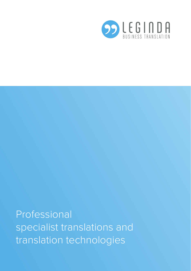

Professional specialist translations and translation technologies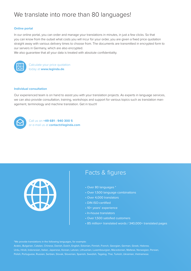# We translate into more than 80 languages!

#### **Online portal**

In our online portal, you can order and manage your translations in minutes, in just a few clicks. So that you can know from the outset what costs you will incur for your order, you are given a fixed price quotation straight away with various delivery times to choose from. The documents are transmitted in encrypted form to our servers in Germany, which are also encrypted.

We also guarantee that all your data is treated with absolute confidentiality.



Calculate your price quotation today at **www.leginda.de**.

#### **Individual consultation**

Our experienced team is on hand to assist you with your translation projects. As experts in language services, we can also provide consultation, training, workshops and support for various topics such as translation management, terminology and machine translation. Get in touch!



Call us on **+49 681 - 940 300 5** or e-mail us at **contact@leginda.com**



### Facts & figures

- Over 80 languages \*
- Over 1,500 language combinations
- Over 4,000 translators
- DIN ISO-certified
- 10+ years' experience
- In-house translators
- Over 1,500 satisfied customers
- 85 million+ translated words / 340,000+ translated pages

\*We provide translations in the following languages, for example:

Arabic, Bulgarian, Catalan, Chinese, Danish, Dutch, English, Estonian, Finnish, French, Georgian, German, Greek, Hebrew, Urdu, Hindi, Indonesian, Italian, Japanese, Korean, Latvian, Lithuanian, Luxembourgian, Macedonian, Maltese, Norwegian, Persian, Polish, Portuguese, Russian, Serbian, Slovak, Slovenian, Spanish, Swedish, Tagalog, Thai, Turkish, Ukrainian, Vietnamese.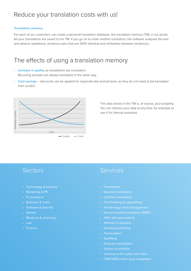### Reduce your translation costs with us!

#### **Translation memory**

For each of our customers, we create a personal translation database, the translation memory (TM), in our portal. All your translations are saved to the TM. If you go on to order another translation, the software analyses the text and detects repetitions, sentence pairs that are 100% identical and similarities between sentences.

# The effects of using a translation memory

- **Increase in quality** as translations are consistent. Recurring phrases are always translated in the same way.
- **Cost savings** discounts can be applied for duplicate text and phrases, as they do not need to be translated from scratch.



The data stored in the TM is, of course, your property. You can retrieve your data at any time, for example to use it for internal purposes.

### **Sectors**

- Technology & industry
- Marketing & PR
- E-commerce
- Business & trade
- Software & Internet
- Games
- Medicine & pharmacy
- Law
- Finance

### Services

- **Translations**
- Express translations
- Certified translations
- Proofreading & copyediting
- Terminology work/management
- Neural machine translation (NMT)
- NMT with post-editing
- Website localisation
- Desktop publishing
- Transcription
- Subtitling
- Software localisation
- Games localisation
- Voiceovers for audio and video
- CMS/VMS/online shop integration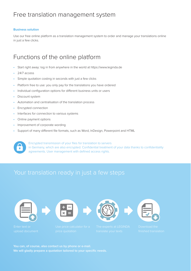# Free translation management system

#### **Business solution**

Use our free online platform as a translation management system to order and manage your translations online in just a few clicks.

# Functions of the online platform

- Start right away: log in from anywhere in the world at https://www.leginda.de
- 24/7 access
- Simple quotation costing in seconds with just a few clicks
- Platform free to use: you only pay for the translations you have ordered
- Individual configuration options for different business units or users
- Discount system
- Automation and centralisation of the translation process
- Encrypted connection
- Interfaces for connection to various systems
- Online payment options
- Improvement of corporate wording
- Support of many different file formats, such as Word, InDesign, Powerpoint and HTML



Encrypted transmission of your files for translation to servers in Germany, which are also encrypted. Confidential treatment of your data thanks to confidentiality agreements. User management with defined access rights.

# Your translation ready in just a few steps









**You can, of course, also contact us by phone or e-mail.** We will gladly prepare a quotation tailored to your specific needs.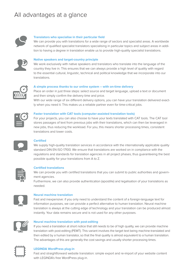# All advantages at a glance



#### **Translators who specialise in their particular field**

We can provide you with translations for a wide range of sectors and specialist areas. A worldwide network of qualified specialist translators specialising in particular topics and subject areas in addition to having a degree in translation enable us to provide high-quality specialist translations.



#### **Native speakers and target-country principle**

We work exclusively with native speakers and translators who translate into the language of the country they live in. This ensures that we can always provide a high level of quality with regard to the essential cultural, linguistic, technical and political knowledge that we incorporate into our translations.



#### **A simple process thanks to our online system – with on-time delivery**

Place an order in just three steps: select source and target language, upload a text or document and then simply confirm the delivery time and price.

With our wide range of six different delivery options, you can have your translation delivered exactly when you need it. This makes us a reliable partner even for time-critical jobs.



#### **Faster translation with CAT tools (computer-assisted translation tools)**

new jobs, thus reducing the workload. For you, this means shorter processing times, consistent<br>Interactive consistent For your projects, you can also choose to have your texts translated with CAT tools. The CAT tool stores passages of text from previous jobs with their translations, which can then be leveraged in translations and lower costs.



#### **Certified**

We supply high-quality translation services in accordance with the internationally applicable quality standard DIN EN ISO 17100. We ensure that translations are worked on in compliance with the setzer, die sich zusätzlich zu ihrem Übersetzerstudium auf bestimmte regulations and standards for translation agencies in all project phases, thus guaranteeing the best possible quality for your translations from A to Z.



#### **Certified translations**

We can provide you with certified translations that you can submit to public authorities and govern-<br> Wir arbeiten ausschließlich mit Muttersprachlern und Übersetzern ment agencies.

Furthermore, we can also provide authentication (apostille) and legalisation of your translations as needed.



### **Neural machine translation**

translation is always at the cutting edge of technology and your translation can be produced almost instantly. Your data remains secure and is not used for any other purposes. Fast and inexpensive: if you only need to understand the content of a foreign-language text for information purposes, we can provide a perfect alternative to human translation. Neural machine



#### dann anfordern, wenn Sie diese benötigen. So sind wir auch bei zeit-**Neural machine translation with post-editing**

The advantages of this are generally the cost savings and usually shorter processing times. If you need a translation at short notice that still needs to be of high quality, we can provide machine translation with post-editing (PEMT). This variant involves the target text being machine-translated and then edited by a human translator, so that the final quality is almost equivalent to a human translation.



#### in CAT-Tools zur Verfügung stellen. Das CAT-Tool merkt sich vorhandene und übersetzte Textpassagen, wodurch keine komplette Neu-Amerikaanse komplette Neu-Amerikaanse komplette N<br>Soos begin het die komplette Neu-Amerikaanse komplette Neu-Amerikaanse komplette Neu-Amerikaanse komplette Neu **LEGINDA WordPress plug-in**

Fast and straightforward website translation: simple export and re-import of your website content with LEGINDA's free WordPress plug-in.